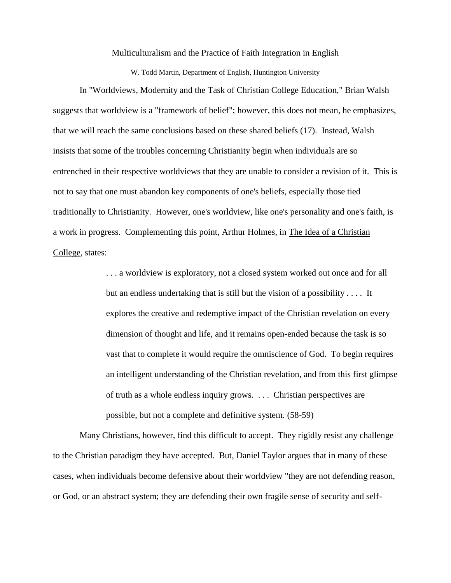Multiculturalism and the Practice of Faith Integration in English

W. Todd Martin, Department of English, Huntington University

In "Worldviews, Modernity and the Task of Christian College Education," Brian Walsh suggests that worldview is a "framework of belief"; however, this does not mean, he emphasizes, that we will reach the same conclusions based on these shared beliefs (17). Instead, Walsh insists that some of the troubles concerning Christianity begin when individuals are so entrenched in their respective worldviews that they are unable to consider a revision of it. This is not to say that one must abandon key components of one's beliefs, especially those tied traditionally to Christianity. However, one's worldview, like one's personality and one's faith, is a work in progress. Complementing this point, Arthur Holmes, in The Idea of a Christian College, states:

> . . . a worldview is exploratory, not a closed system worked out once and for all but an endless undertaking that is still but the vision of a possibility . . . . It explores the creative and redemptive impact of the Christian revelation on every dimension of thought and life, and it remains open-ended because the task is so vast that to complete it would require the omniscience of God. To begin requires an intelligent understanding of the Christian revelation, and from this first glimpse of truth as a whole endless inquiry grows. . . . Christian perspectives are possible, but not a complete and definitive system. (58-59)

Many Christians, however, find this difficult to accept. They rigidly resist any challenge to the Christian paradigm they have accepted. But, Daniel Taylor argues that in many of these cases, when individuals become defensive about their worldview "they are not defending reason, or God, or an abstract system; they are defending their own fragile sense of security and self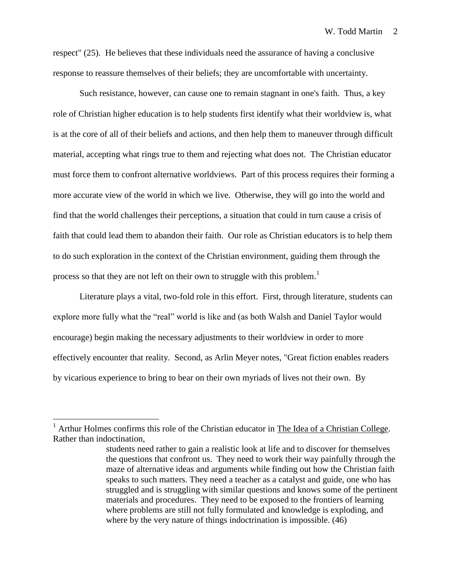respect" (25). He believes that these individuals need the assurance of having a conclusive response to reassure themselves of their beliefs; they are uncomfortable with uncertainty.

Such resistance, however, can cause one to remain stagnant in one's faith. Thus, a key role of Christian higher education is to help students first identify what their worldview is, what is at the core of all of their beliefs and actions, and then help them to maneuver through difficult material, accepting what rings true to them and rejecting what does not. The Christian educator must force them to confront alternative worldviews. Part of this process requires their forming a more accurate view of the world in which we live. Otherwise, they will go into the world and find that the world challenges their perceptions, a situation that could in turn cause a crisis of faith that could lead them to abandon their faith. Our role as Christian educators is to help them to do such exploration in the context of the Christian environment, guiding them through the process so that they are not left on their own to struggle with this problem.<sup>1</sup>

Literature plays a vital, two-fold role in this effort. First, through literature, students can explore more fully what the "real" world is like and (as both Walsh and Daniel Taylor would encourage) begin making the necessary adjustments to their worldview in order to more effectively encounter that reality. Second, as Arlin Meyer notes, "Great fiction enables readers by vicarious experience to bring to bear on their own myriads of lives not their own. By

 $\overline{a}$ 

Arthur Holmes confirms this role of the Christian educator in The Idea of a Christian College. Rather than indoctination,

students need rather to gain a realistic look at life and to discover for themselves the questions that confront us. They need to work their way painfully through the maze of alternative ideas and arguments while finding out how the Christian faith speaks to such matters. They need a teacher as a catalyst and guide, one who has struggled and is struggling with similar questions and knows some of the pertinent materials and procedures. They need to be exposed to the frontiers of learning where problems are still not fully formulated and knowledge is exploding, and where by the very nature of things indoctrination is impossible. (46)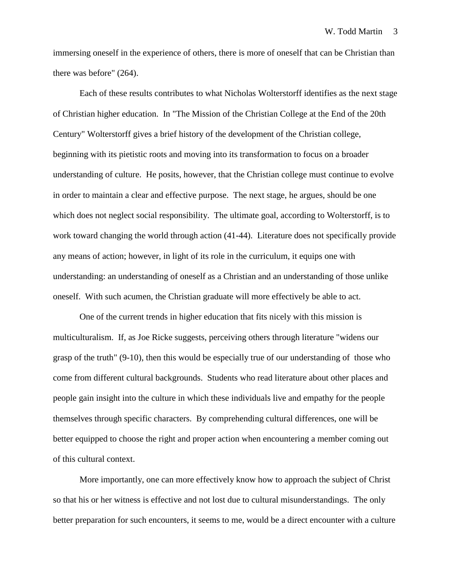immersing oneself in the experience of others, there is more of oneself that can be Christian than there was before" (264).

Each of these results contributes to what Nicholas Wolterstorff identifies as the next stage of Christian higher education. In "The Mission of the Christian College at the End of the 20th Century" Wolterstorff gives a brief history of the development of the Christian college, beginning with its pietistic roots and moving into its transformation to focus on a broader understanding of culture. He posits, however, that the Christian college must continue to evolve in order to maintain a clear and effective purpose. The next stage, he argues, should be one which does not neglect social responsibility. The ultimate goal, according to Wolterstorff, is to work toward changing the world through action (41-44). Literature does not specifically provide any means of action; however, in light of its role in the curriculum, it equips one with understanding: an understanding of oneself as a Christian and an understanding of those unlike oneself. With such acumen, the Christian graduate will more effectively be able to act.

One of the current trends in higher education that fits nicely with this mission is multiculturalism. If, as Joe Ricke suggests, perceiving others through literature "widens our grasp of the truth" (9-10), then this would be especially true of our understanding of those who come from different cultural backgrounds. Students who read literature about other places and people gain insight into the culture in which these individuals live and empathy for the people themselves through specific characters. By comprehending cultural differences, one will be better equipped to choose the right and proper action when encountering a member coming out of this cultural context.

More importantly, one can more effectively know how to approach the subject of Christ so that his or her witness is effective and not lost due to cultural misunderstandings. The only better preparation for such encounters, it seems to me, would be a direct encounter with a culture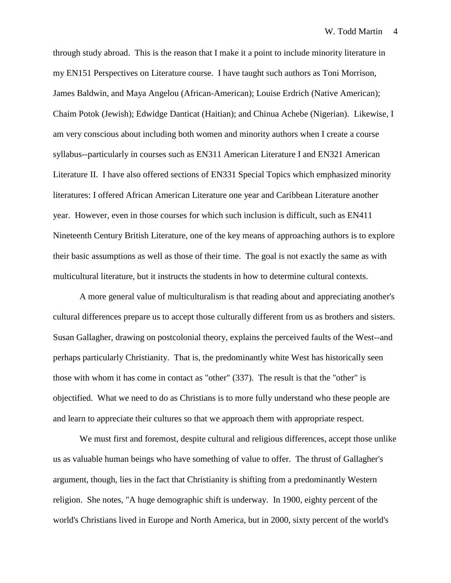through study abroad. This is the reason that I make it a point to include minority literature in my EN151 Perspectives on Literature course. I have taught such authors as Toni Morrison, James Baldwin, and Maya Angelou (African-American); Louise Erdrich (Native American); Chaim Potok (Jewish); Edwidge Danticat (Haitian); and Chinua Achebe (Nigerian). Likewise, I am very conscious about including both women and minority authors when I create a course syllabus--particularly in courses such as EN311 American Literature I and EN321 American Literature II. I have also offered sections of EN331 Special Topics which emphasized minority literatures: I offered African American Literature one year and Caribbean Literature another year. However, even in those courses for which such inclusion is difficult, such as EN411 Nineteenth Century British Literature, one of the key means of approaching authors is to explore their basic assumptions as well as those of their time. The goal is not exactly the same as with multicultural literature, but it instructs the students in how to determine cultural contexts.

A more general value of multiculturalism is that reading about and appreciating another's cultural differences prepare us to accept those culturally different from us as brothers and sisters. Susan Gallagher, drawing on postcolonial theory, explains the perceived faults of the West--and perhaps particularly Christianity. That is, the predominantly white West has historically seen those with whom it has come in contact as "other" (337). The result is that the "other" is objectified. What we need to do as Christians is to more fully understand who these people are and learn to appreciate their cultures so that we approach them with appropriate respect.

We must first and foremost, despite cultural and religious differences, accept those unlike us as valuable human beings who have something of value to offer. The thrust of Gallagher's argument, though, lies in the fact that Christianity is shifting from a predominantly Western religion. She notes, "A huge demographic shift is underway. In 1900, eighty percent of the world's Christians lived in Europe and North America, but in 2000, sixty percent of the world's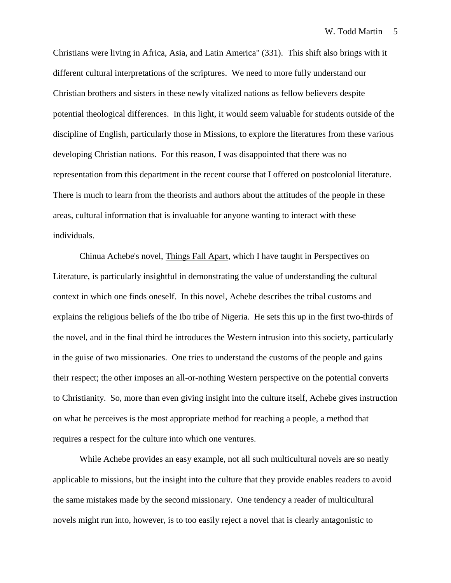Christians were living in Africa, Asia, and Latin America" (331). This shift also brings with it different cultural interpretations of the scriptures. We need to more fully understand our Christian brothers and sisters in these newly vitalized nations as fellow believers despite potential theological differences. In this light, it would seem valuable for students outside of the discipline of English, particularly those in Missions, to explore the literatures from these various developing Christian nations. For this reason, I was disappointed that there was no representation from this department in the recent course that I offered on postcolonial literature. There is much to learn from the theorists and authors about the attitudes of the people in these areas, cultural information that is invaluable for anyone wanting to interact with these individuals.

Chinua Achebe's novel, Things Fall Apart, which I have taught in Perspectives on Literature, is particularly insightful in demonstrating the value of understanding the cultural context in which one finds oneself. In this novel, Achebe describes the tribal customs and explains the religious beliefs of the Ibo tribe of Nigeria. He sets this up in the first two-thirds of the novel, and in the final third he introduces the Western intrusion into this society, particularly in the guise of two missionaries. One tries to understand the customs of the people and gains their respect; the other imposes an all-or-nothing Western perspective on the potential converts to Christianity. So, more than even giving insight into the culture itself, Achebe gives instruction on what he perceives is the most appropriate method for reaching a people, a method that requires a respect for the culture into which one ventures.

While Achebe provides an easy example, not all such multicultural novels are so neatly applicable to missions, but the insight into the culture that they provide enables readers to avoid the same mistakes made by the second missionary. One tendency a reader of multicultural novels might run into, however, is to too easily reject a novel that is clearly antagonistic to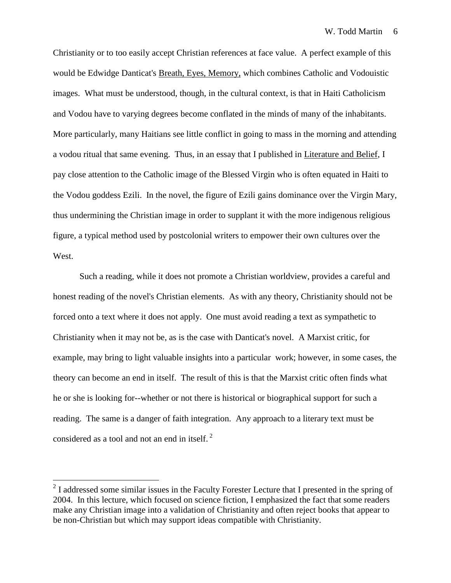Christianity or to too easily accept Christian references at face value. A perfect example of this would be Edwidge Danticat's Breath, Eyes, Memory, which combines Catholic and Vodouistic images. What must be understood, though, in the cultural context, is that in Haiti Catholicism and Vodou have to varying degrees become conflated in the minds of many of the inhabitants. More particularly, many Haitians see little conflict in going to mass in the morning and attending a vodou ritual that same evening. Thus, in an essay that I published in Literature and Belief, I pay close attention to the Catholic image of the Blessed Virgin who is often equated in Haiti to the Vodou goddess Ezili. In the novel, the figure of Ezili gains dominance over the Virgin Mary, thus undermining the Christian image in order to supplant it with the more indigenous religious figure, a typical method used by postcolonial writers to empower their own cultures over the West.

Such a reading, while it does not promote a Christian worldview, provides a careful and honest reading of the novel's Christian elements. As with any theory, Christianity should not be forced onto a text where it does not apply. One must avoid reading a text as sympathetic to Christianity when it may not be, as is the case with Danticat's novel. A Marxist critic, for example, may bring to light valuable insights into a particular work; however, in some cases, the theory can become an end in itself. The result of this is that the Marxist critic often finds what he or she is looking for--whether or not there is historical or biographical support for such a reading. The same is a danger of faith integration. Any approach to a literary text must be considered as a tool and not an end in itself. <sup>2</sup>

 $\overline{a}$ 

 $2<sup>2</sup>$  I addressed some similar issues in the Faculty Forester Lecture that I presented in the spring of 2004. In this lecture, which focused on science fiction, I emphasized the fact that some readers make any Christian image into a validation of Christianity and often reject books that appear to be non-Christian but which may support ideas compatible with Christianity.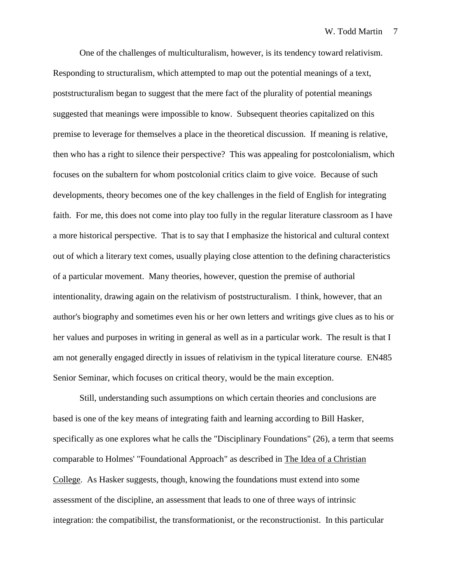One of the challenges of multiculturalism, however, is its tendency toward relativism. Responding to structuralism, which attempted to map out the potential meanings of a text, poststructuralism began to suggest that the mere fact of the plurality of potential meanings suggested that meanings were impossible to know. Subsequent theories capitalized on this premise to leverage for themselves a place in the theoretical discussion. If meaning is relative, then who has a right to silence their perspective? This was appealing for postcolonialism, which focuses on the subaltern for whom postcolonial critics claim to give voice. Because of such developments, theory becomes one of the key challenges in the field of English for integrating faith. For me, this does not come into play too fully in the regular literature classroom as I have a more historical perspective. That is to say that I emphasize the historical and cultural context out of which a literary text comes, usually playing close attention to the defining characteristics of a particular movement. Many theories, however, question the premise of authorial intentionality, drawing again on the relativism of poststructuralism. I think, however, that an author's biography and sometimes even his or her own letters and writings give clues as to his or her values and purposes in writing in general as well as in a particular work. The result is that I am not generally engaged directly in issues of relativism in the typical literature course. EN485 Senior Seminar, which focuses on critical theory, would be the main exception.

Still, understanding such assumptions on which certain theories and conclusions are based is one of the key means of integrating faith and learning according to Bill Hasker, specifically as one explores what he calls the "Disciplinary Foundations" (26), a term that seems comparable to Holmes' "Foundational Approach" as described in The Idea of a Christian College. As Hasker suggests, though, knowing the foundations must extend into some assessment of the discipline, an assessment that leads to one of three ways of intrinsic integration: the compatibilist, the transformationist, or the reconstructionist. In this particular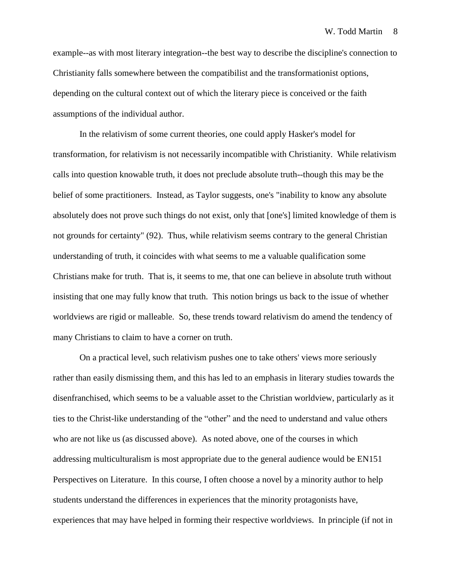example--as with most literary integration--the best way to describe the discipline's connection to Christianity falls somewhere between the compatibilist and the transformationist options, depending on the cultural context out of which the literary piece is conceived or the faith assumptions of the individual author.

In the relativism of some current theories, one could apply Hasker's model for transformation, for relativism is not necessarily incompatible with Christianity. While relativism calls into question knowable truth, it does not preclude absolute truth--though this may be the belief of some practitioners. Instead, as Taylor suggests, one's "inability to know any absolute absolutely does not prove such things do not exist, only that [one's] limited knowledge of them is not grounds for certainty" (92). Thus, while relativism seems contrary to the general Christian understanding of truth, it coincides with what seems to me a valuable qualification some Christians make for truth. That is, it seems to me, that one can believe in absolute truth without insisting that one may fully know that truth. This notion brings us back to the issue of whether worldviews are rigid or malleable. So, these trends toward relativism do amend the tendency of many Christians to claim to have a corner on truth.

On a practical level, such relativism pushes one to take others' views more seriously rather than easily dismissing them, and this has led to an emphasis in literary studies towards the disenfranchised, which seems to be a valuable asset to the Christian worldview, particularly as it ties to the Christ-like understanding of the "other" and the need to understand and value others who are not like us (as discussed above). As noted above, one of the courses in which addressing multiculturalism is most appropriate due to the general audience would be EN151 Perspectives on Literature. In this course, I often choose a novel by a minority author to help students understand the differences in experiences that the minority protagonists have, experiences that may have helped in forming their respective worldviews. In principle (if not in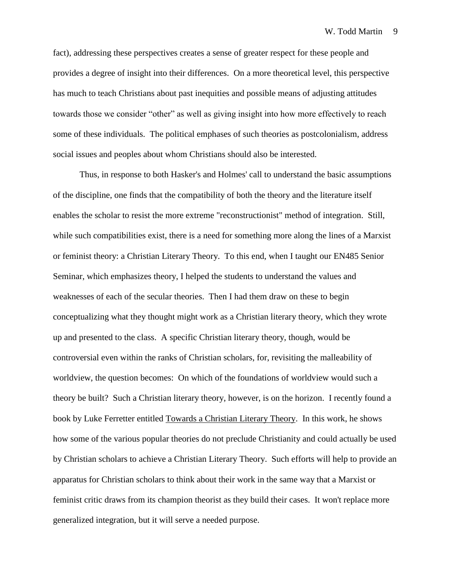fact), addressing these perspectives creates a sense of greater respect for these people and provides a degree of insight into their differences. On a more theoretical level, this perspective has much to teach Christians about past inequities and possible means of adjusting attitudes towards those we consider "other" as well as giving insight into how more effectively to reach some of these individuals. The political emphases of such theories as postcolonialism, address social issues and peoples about whom Christians should also be interested.

Thus, in response to both Hasker's and Holmes' call to understand the basic assumptions of the discipline, one finds that the compatibility of both the theory and the literature itself enables the scholar to resist the more extreme "reconstructionist" method of integration. Still, while such compatibilities exist, there is a need for something more along the lines of a Marxist or feminist theory: a Christian Literary Theory. To this end, when I taught our EN485 Senior Seminar, which emphasizes theory, I helped the students to understand the values and weaknesses of each of the secular theories. Then I had them draw on these to begin conceptualizing what they thought might work as a Christian literary theory, which they wrote up and presented to the class. A specific Christian literary theory, though, would be controversial even within the ranks of Christian scholars, for, revisiting the malleability of worldview, the question becomes: On which of the foundations of worldview would such a theory be built? Such a Christian literary theory, however, is on the horizon. I recently found a book by Luke Ferretter entitled Towards a Christian Literary Theory. In this work, he shows how some of the various popular theories do not preclude Christianity and could actually be used by Christian scholars to achieve a Christian Literary Theory. Such efforts will help to provide an apparatus for Christian scholars to think about their work in the same way that a Marxist or feminist critic draws from its champion theorist as they build their cases. It won't replace more generalized integration, but it will serve a needed purpose.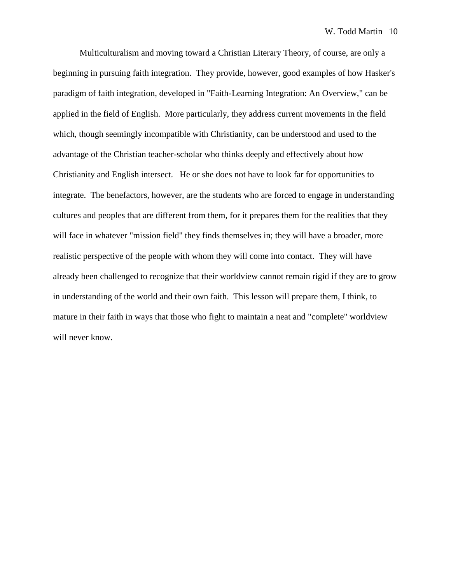Multiculturalism and moving toward a Christian Literary Theory, of course, are only a beginning in pursuing faith integration. They provide, however, good examples of how Hasker's paradigm of faith integration, developed in "Faith-Learning Integration: An Overview," can be applied in the field of English. More particularly, they address current movements in the field which, though seemingly incompatible with Christianity, can be understood and used to the advantage of the Christian teacher-scholar who thinks deeply and effectively about how Christianity and English intersect. He or she does not have to look far for opportunities to integrate. The benefactors, however, are the students who are forced to engage in understanding cultures and peoples that are different from them, for it prepares them for the realities that they will face in whatever "mission field" they finds themselves in; they will have a broader, more realistic perspective of the people with whom they will come into contact. They will have already been challenged to recognize that their worldview cannot remain rigid if they are to grow in understanding of the world and their own faith. This lesson will prepare them, I think, to mature in their faith in ways that those who fight to maintain a neat and "complete" worldview will never know.